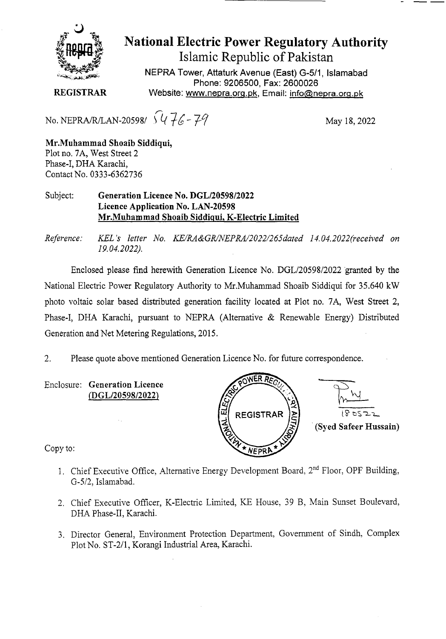

# National Electric Power Regulatory Authority

Islamic Republic of Pakistan

**NEPRA Tower, Attaturk Avenue (East) G-511, Islamabad Phone: 9206500, Fax: 2600026 REGISTRAR** Website: www.nepra.org.pk, Email: info@nepra.org.pk

No. NEPRA/R/LAN-20598/ $\sqrt{46-79}$ 

May 18, 2022

**Mr.Muhammad Shoaib Siddiqni,**  Plot no. 7A, West Street 2 Phase-I, DHA Karachi, Contact No. 0333-6362736

#### Subject: **Generation Licence No. DGL/20598/2022 Licence Application No. LAN-20598 Mr.Muhammad Shoaib Siddiqui. K-Electric Limited**

*Reference. KEL 's letter No. KE/RA&GR/NEPRA/2022/265dated 14.04.2022('received on 19.04.2022).* 

Enclosed please find herewith Generation Licence No. DGL/20598/2022 granted by the National Electric Power Regulatory Authority to Mr.Muharnmad Shoaib Siddiqui for 35.640 kW photo voltaic solar based distributed generation facility located at Plot no. 7A, West Street 2, Phase-I, DHA Karachi, pursuant to NEPRA (Alternative & Renewable Energy) Distributed Generation and Net Metering Regulations, 2015.

2. Please quote above mentioned Generation Licence No. for future correspondence.

Enclosure: **Generation Licence fflGL/20598/2022)** 



Copy to:

- 1. Chief Executive Office, Alternative Energy Development Board,  $2<sup>nd</sup>$  Floor, OPF Building, *0-5/2,* Islamabad.
- 2. Chief Executive Officer, K-Electric Limited, KE House, 39 B, Main Sunset Boulevard, DHA Phase-Il, Karachi.
- 3. Director General, Environment Protection Department, Government of Sindh, Complex Plot No. ST-2/1, Korangi Industrial Area, Karachi.